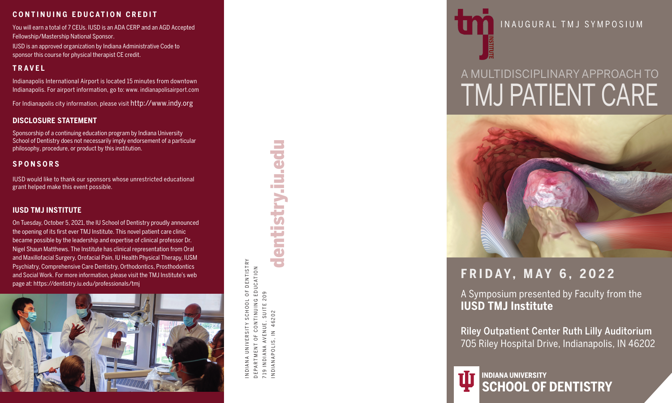### **CONTINUING EDUCATION CREDIT**

You will earn a total of 7 CEUs. IUSD is an ADA CERP and an AGD Accepted Fellowship/Mastership National Sponsor.

IUSD is an approved organization by Indiana Administrative Code to sponsor this course for physical therapist CE credit.

### **TRAVEL**

Indianapolis International Airport is located 15 minutes from downtown Indianapolis. For airport information, go to: www. indianapolisairport.com

For Indianapolis city information, please visit http://www.indy.org

### **DISCLOSURE STATEMENT**

Sponsorship of a continuing education program by Indiana University School of Dentistry does not necessarily imply endorsement of a particular philosophy, procedure, or product by this institution.

### **SPONSORS**

IUSD would like to thank our sponsors whose unrestricted educational grant helped make this event possible.

### **IUSD TMJ INSTITUTE**

On Tuesday, October 5, 2021, the IU School of Dentistry proudly announced the opening of its first ever TMJ Institute. This novel patient care clinic became possible by the leadership and expertise of clinical professor Dr. Nigel Shaun Matthews. The Institute has clinical representation from Oral and Maxillofacial Surgery, Orofacial Pain, IU Health Physical Therapy, IUSM Psychiatry, Comprehensive Care Dentistry, Orthodontics, Prosthodontics and Social Work. For more information, please visit the TMJ Institute's web page at: https://dentistry.iu.edu/professionals/tmj



**DENTISTRY** INDIANA UNIVERSITY SCHOOL OF DENTISTRY CONTINUING EDUCATION DEPARTMENT OF CONTINUING EDUCATION SCHOOL OF AVENUE, SUITE 209 719 INDIANA AVENUE, SUITE 209 INDIANAPOLIS, IN 46202 RSIT<sup></sup>  $\circ$ UNIVI 719 INDIAN<br>INDIANAP NDIAN, DEPAR





### INAUGURAL TMJ SYMPOSIUM

# A MULTIDISCIPLINARY APPROACH TO TMJ PATIENT CARE



### **FRIDAY, MAY 6, 2022**

A Symposium presented by Faculty from the **IUSD TMJ Institute**

Riley Outpatient Center Ruth Lilly Auditorium 705 Riley Hospital Drive, Indianapolis, IN 46202

**INDIANA UNIVERSITY SCHOOL OF DENTISTRY**